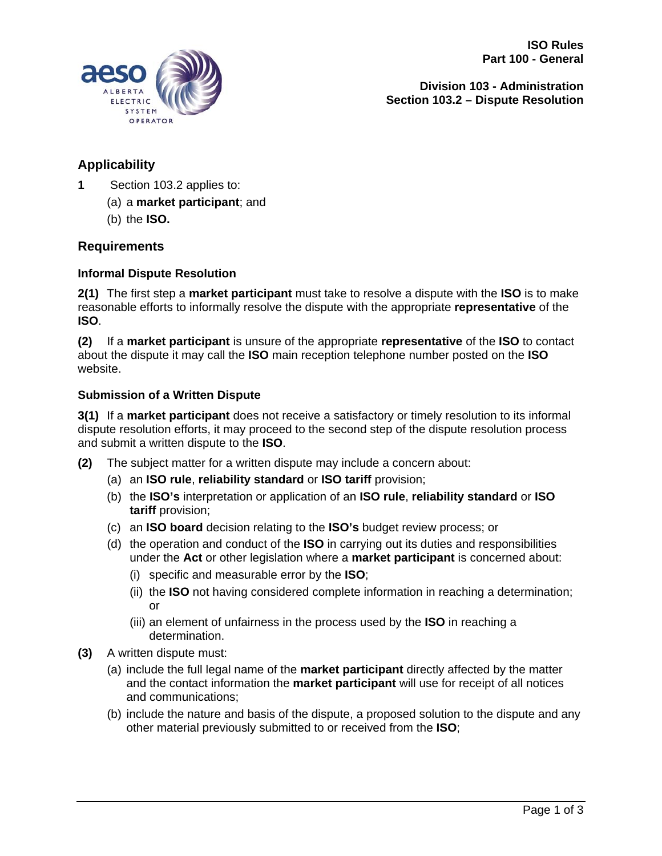



**Division 103 - Administration Section 103.2 – Dispute Resolution**

# **Applicability**

- **1** Section 103.2 applies to:
	- (a) a **market participant**; and
	- (b) the **ISO.**

## **Requirements**

## **Informal Dispute Resolution**

**2(1)** The first step a **market participant** must take to resolve a dispute with the **ISO** is to make reasonable efforts to informally resolve the dispute with the appropriate **representative** of the **ISO**.

**(2)** If a **market participant** is unsure of the appropriate **representative** of the **ISO** to contact about the dispute it may call the **ISO** main reception telephone number posted on the **ISO** website.

## **Submission of a Written Dispute**

**3(1)** If a **market participant** does not receive a satisfactory or timely resolution to its informal dispute resolution efforts, it may proceed to the second step of the dispute resolution process and submit a written dispute to the **ISO**.

- **(2)** The subject matter for a written dispute may include a concern about:
	- (a) an **ISO rule**, **reliability standard** or **ISO tariff** provision;
	- (b) the **ISO's** interpretation or application of an **ISO rule**, **reliability standard** or **ISO tariff** provision;
	- (c) an **ISO board** decision relating to the **ISO's** budget review process; or
	- (d) the operation and conduct of the **ISO** in carrying out its duties and responsibilities under the **Act** or other legislation where a **market participant** is concerned about:
		- (i) specific and measurable error by the **ISO**;
		- (ii) the **ISO** not having considered complete information in reaching a determination; or
		- (iii) an element of unfairness in the process used by the **ISO** in reaching a determination.
- **(3)** A written dispute must:
	- (a) include the full legal name of the **market participant** directly affected by the matter and the contact information the **market participant** will use for receipt of all notices and communications;
	- (b) include the nature and basis of the dispute, a proposed solution to the dispute and any other material previously submitted to or received from the **ISO**;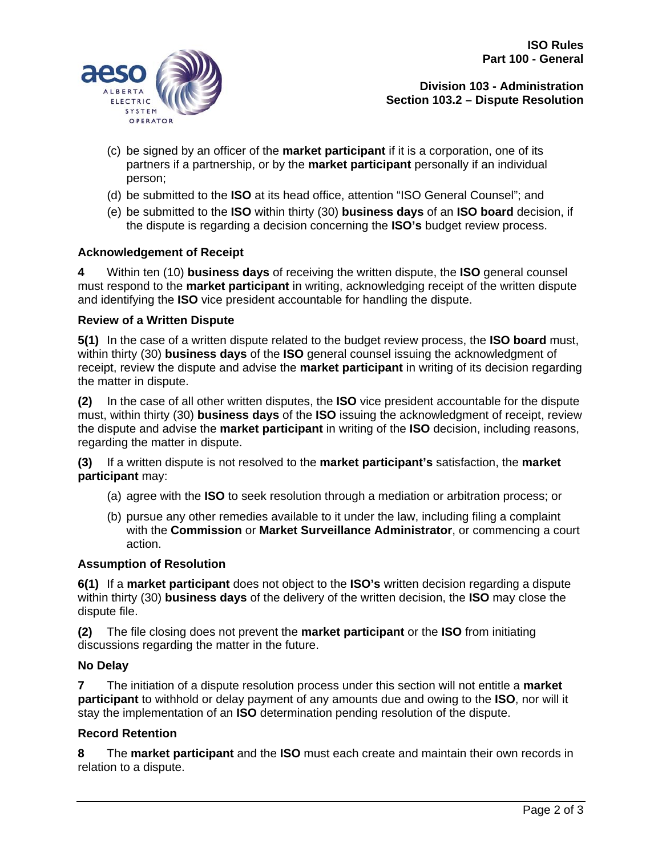

**Division 103 - Administration Section 103.2 – Dispute Resolution**

- (c) be signed by an officer of the **market participant** if it is a corporation, one of its partners if a partnership, or by the **market participant** personally if an individual person;
- (d) be submitted to the **ISO** at its head office, attention "ISO General Counsel"; and
- (e) be submitted to the **ISO** within thirty (30) **business days** of an **ISO board** decision, if the dispute is regarding a decision concerning the **ISO's** budget review process.

## **Acknowledgement of Receipt**

**4** Within ten (10) **business days** of receiving the written dispute, the **ISO** general counsel must respond to the **market participant** in writing, acknowledging receipt of the written dispute and identifying the **ISO** vice president accountable for handling the dispute.

### **Review of a Written Dispute**

**5(1)** In the case of a written dispute related to the budget review process, the **ISO board** must, within thirty (30) **business days** of the **ISO** general counsel issuing the acknowledgment of receipt, review the dispute and advise the **market participant** in writing of its decision regarding the matter in dispute.

**(2)** In the case of all other written disputes, the **ISO** vice president accountable for the dispute must, within thirty (30) **business days** of the **ISO** issuing the acknowledgment of receipt, review the dispute and advise the **market participant** in writing of the **ISO** decision, including reasons, regarding the matter in dispute.

**(3)** If a written dispute is not resolved to the **market participant's** satisfaction, the **market participant** may:

- (a) agree with the **ISO** to seek resolution through a mediation or arbitration process; or
- (b) pursue any other remedies available to it under the law, including filing a complaint with the **Commission** or **Market Surveillance Administrator**, or commencing a court action.

## **Assumption of Resolution**

**6(1)** If a **market participant** does not object to the **ISO's** written decision regarding a dispute within thirty (30) **business days** of the delivery of the written decision, the **ISO** may close the dispute file.

**(2)** The file closing does not prevent the **market participant** or the **ISO** from initiating discussions regarding the matter in the future.

### **No Delay**

**7** The initiation of a dispute resolution process under this section will not entitle a **market participant** to withhold or delay payment of any amounts due and owing to the **ISO**, nor will it stay the implementation of an **ISO** determination pending resolution of the dispute.

### **Record Retention**

**8** The **market participant** and the **ISO** must each create and maintain their own records in relation to a dispute.